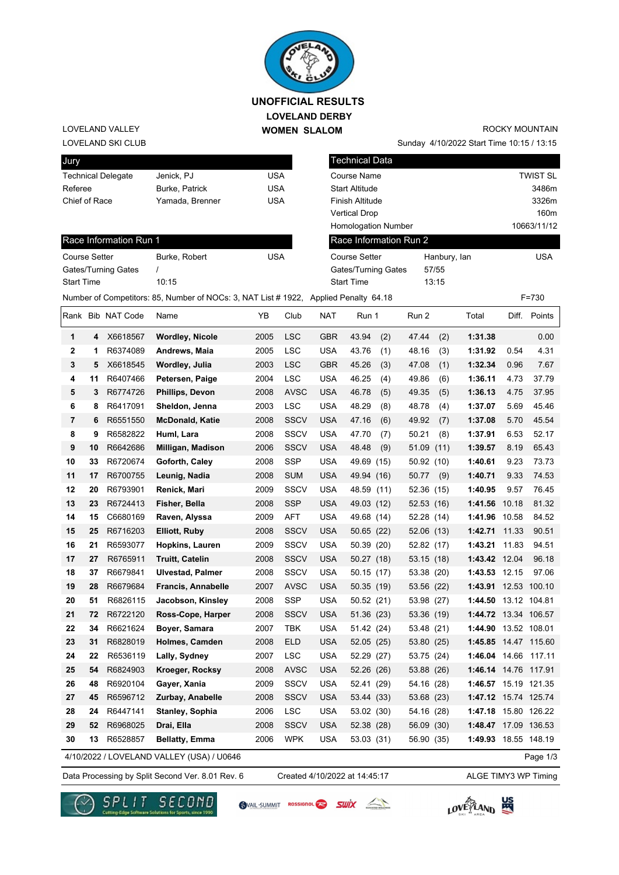

### **LOVELAND DERBY WOMEN SLALOM UNOFFICIAL RESULTS**

#### LOVELAND SKI CLUB LOVELAND VALLEY

# ROCKY MOUNTAIN

Sunday 4/10/2022 Start Time 10:15 / 13:15

| Jury                 |    |                           |                                                                                      |            |             |            | <b>Technical Data</b>      |            |              |                      |       |                 |
|----------------------|----|---------------------------|--------------------------------------------------------------------------------------|------------|-------------|------------|----------------------------|------------|--------------|----------------------|-------|-----------------|
|                      |    | <b>Technical Delegate</b> | Jenick, PJ                                                                           | <b>USA</b> |             |            | Course Name                |            |              |                      |       | <b>TWIST SL</b> |
| Referee              |    |                           | Burke, Patrick                                                                       | <b>USA</b> |             |            | <b>Start Altitude</b>      |            |              |                      |       | 3486m           |
| Chief of Race        |    |                           | Yamada, Brenner                                                                      | <b>USA</b> |             |            | Finish Altitude            |            |              |                      |       | 3326m           |
|                      |    |                           |                                                                                      |            |             |            | <b>Vertical Drop</b>       |            |              |                      |       | 160m            |
|                      |    |                           |                                                                                      |            |             |            | <b>Homologation Number</b> |            |              |                      |       | 10663/11/12     |
|                      |    | Race Information Run 1    |                                                                                      |            |             |            | Race Information Run 2     |            |              |                      |       |                 |
| <b>Course Setter</b> |    |                           | Burke, Robert                                                                        | <b>USA</b> |             |            | <b>Course Setter</b>       |            | Hanbury, lan |                      |       | <b>USA</b>      |
|                      |    | Gates/Turning Gates       | $\prime$                                                                             |            |             |            | Gates/Turning Gates        |            | 57/55        |                      |       |                 |
| <b>Start Time</b>    |    |                           | 10:15                                                                                |            |             |            | <b>Start Time</b>          |            | 13:15        |                      |       |                 |
|                      |    |                           | Number of Competitors: 85, Number of NOCs: 3, NAT List # 1922, Applied Penalty 64.18 |            |             |            |                            |            |              |                      |       | $F = 730$       |
|                      |    | Rank Bib NAT Code         | Name                                                                                 | ΥB         | Club        | <b>NAT</b> | Run 1                      | Run 2      |              | Total                | Diff. | Points          |
| 1                    | 4  | X6618567                  | <b>Wordley, Nicole</b>                                                               | 2005       | LSC         | <b>GBR</b> | 43.94<br>(2)               | 47.44      | (2)          | 1:31.38              |       | 0.00            |
| $\mathbf 2$          | 1  | R6374089                  | Andrews, Maia                                                                        | 2005       | <b>LSC</b>  | <b>USA</b> | 43.76<br>(1)               | 48.16      | (3)          | 1:31.92              | 0.54  | 4.31            |
| 3                    | 5  | X6618545                  | Wordley, Julia                                                                       | 2003       | <b>LSC</b>  | <b>GBR</b> | 45.26<br>(3)               | 47.08      | (1)          | 1:32.34              | 0.96  | 7.67            |
| 4                    | 11 | R6407466                  | Petersen, Paige                                                                      | 2004       | <b>LSC</b>  | <b>USA</b> | 46.25<br>(4)               | 49.86      | (6)          | 1:36.11              | 4.73  | 37.79           |
| 5                    | 3  | R6774726                  | Phillips, Devon                                                                      | 2008       | <b>AVSC</b> | <b>USA</b> | 46.78<br>(5)               | 49.35      | (5)          | 1:36.13              | 4.75  | 37.95           |
| 6                    | 8  | R6417091                  | Sheldon, Jenna                                                                       | 2003       | <b>LSC</b>  | <b>USA</b> | 48.29<br>(8)               | 48.78      | (4)          | 1:37.07              | 5.69  | 45.46           |
| 7                    | 6  | R6551550                  | <b>McDonald, Katie</b>                                                               | 2008       | <b>SSCV</b> | <b>USA</b> | 47.16<br>(6)               | 49.92      | (7)          | 1:37.08              | 5.70  | 45.54           |
| 8                    | 9  | R6582822                  | Huml, Lara                                                                           | 2008       | <b>SSCV</b> | <b>USA</b> | 47.70<br>(7)               | 50.21      | (8)          | 1:37.91              | 6.53  | 52.17           |
| 9                    | 10 | R6642686                  | Milligan, Madison                                                                    | 2006       | <b>SSCV</b> | <b>USA</b> | (9)<br>48.48               | 51.09      | (11)         | 1:39.57              | 8.19  | 65.43           |
| 10                   | 33 | R6720674                  | Goforth, Caley                                                                       | 2008       | <b>SSP</b>  | <b>USA</b> | 49.69 (15)                 | 50.92 (10) |              | 1:40.61              | 9.23  | 73.73           |
| 11                   | 17 | R6700755                  | Leunig, Nadia                                                                        | 2008       | <b>SUM</b>  | <b>USA</b> | 49.94 (16)                 | 50.77      | (9)          | 1:40.71              | 9.33  | 74.53           |
| 12                   | 20 | R6793901                  | Renick, Mari                                                                         | 2009       | <b>SSCV</b> | <b>USA</b> | 48.59 (11)                 | 52.36 (15) |              | 1:40.95              | 9.57  | 76.45           |
| 13                   | 23 | R6724413                  | Fisher, Bella                                                                        | 2008       | <b>SSP</b>  | <b>USA</b> | 49.03 (12)                 | 52.53 (16) |              | 1:41.56              | 10.18 | 81.32           |
| 14                   | 15 | C6680169                  | Raven, Alyssa                                                                        | 2009       | AFT         | <b>USA</b> | 49.68 (14)                 | 52.28 (14) |              | 1:41.96              | 10.58 | 84.52           |
| 15                   | 25 | R6716203                  | <b>Elliott, Ruby</b>                                                                 | 2008       | <b>SSCV</b> | <b>USA</b> | 50.65(22)                  | 52.06 (13) |              | 1:42.71              | 11.33 | 90.51           |
| 16                   | 21 | R6593077                  | Hopkins, Lauren                                                                      | 2009       | <b>SSCV</b> | <b>USA</b> | 50.39 (20)                 | 52.82 (17) |              | 1:43.21              | 11.83 | 94.51           |
| 17                   | 27 | R6765911                  | <b>Truitt, Catelin</b>                                                               | 2008       | <b>SSCV</b> | <b>USA</b> | 50.27 (18)                 | 53.15 (18) |              | 1:43.42 12.04        |       | 96.18           |
| 18                   | 37 | R6679841                  | <b>Ulvestad, Palmer</b>                                                              | 2008       | <b>SSCV</b> | <b>USA</b> | 50.15 (17)                 | 53.38 (20) |              | 1:43.53 12.15        |       | 97.06           |
| 19                   | 28 | R6679684                  | Francis, Annabelle                                                                   | 2007       | <b>AVSC</b> | <b>USA</b> | 50.35 (19)                 | 53.56 (22) |              | 1:43.91 12.53 100.10 |       |                 |
| 20                   | 51 | R6826115                  | Jacobson, Kinsley                                                                    | 2008       | <b>SSP</b>  | <b>USA</b> | 50.52 (21)                 | 53.98 (27) |              | 1:44.50 13.12 104.81 |       |                 |
| 21                   | 72 | R6722120                  | Ross-Cope, Harper                                                                    | 2008       | <b>SSCV</b> | <b>USA</b> | 51.36 (23)                 | 53.36 (19) |              | 1:44.72 13.34 106.57 |       |                 |
| 22                   | 34 | R6621624                  | Boyer, Samara                                                                        | 2007       | <b>TBK</b>  | <b>USA</b> | 51.42 (24)                 | 53.48 (21) |              | 1:44.90 13.52 108.01 |       |                 |
| 23                   | 31 | R6828019                  | Holmes, Camden                                                                       | 2008       | <b>ELD</b>  | <b>USA</b> | 52.05 (25)                 | 53.80 (25) |              | 1:45.85 14.47 115.60 |       |                 |
| 24                   | 22 | R6536119                  | Lally, Sydney                                                                        | 2007       | LSC         | <b>USA</b> | 52.29 (27)                 | 53.75 (24) |              | 1:46.04 14.66 117.11 |       |                 |
| 25                   | 54 | R6824903                  | Kroeger, Rocksy                                                                      | 2008       | <b>AVSC</b> | <b>USA</b> | 52.26 (26)                 | 53.88 (26) |              | 1:46.14 14.76 117.91 |       |                 |
| 26                   | 48 | R6920104                  | Gayer, Xania                                                                         | 2009       | <b>SSCV</b> | <b>USA</b> | 52.41 (29)                 | 54.16 (28) |              | 1:46.57 15.19 121.35 |       |                 |
| 27                   | 45 | R6596712                  | Zurbay, Anabelle                                                                     | 2008       | <b>SSCV</b> | <b>USA</b> | 53.44 (33)                 | 53.68 (23) |              | 1:47.12 15.74 125.74 |       |                 |
| 28                   | 24 | R6447141                  | Stanley, Sophia                                                                      | 2006       | LSC         | <b>USA</b> | 53.02 (30)                 | 54.16 (28) |              | 1:47.18 15.80 126.22 |       |                 |
| 29                   | 52 | R6968025                  | Drai, Ella                                                                           | 2008       | <b>SSCV</b> | <b>USA</b> | 52.38 (28)                 | 56.09 (30) |              | 1:48.47 17.09 136.53 |       |                 |
| 30                   | 13 | R6528857                  | <b>Bellatty, Emma</b>                                                                | 2006       | <b>WPK</b>  | <b>USA</b> | 53.03 (31)                 | 56.90 (35) |              | 1:49.93 18.55 148.19 |       |                 |
|                      |    |                           | 4/10/2022 / LOVELAND VALLEY (USA) / U0646                                            |            |             |            |                            |            |              |                      |       | Page 1/3        |

Data Processing by Split Second Ver. 8.01 Rev. 6 Created 4/10/2022 at 14:45:17 ALGE TIMY3 WP Timing

Created 4/10/2022 at 14:45:17







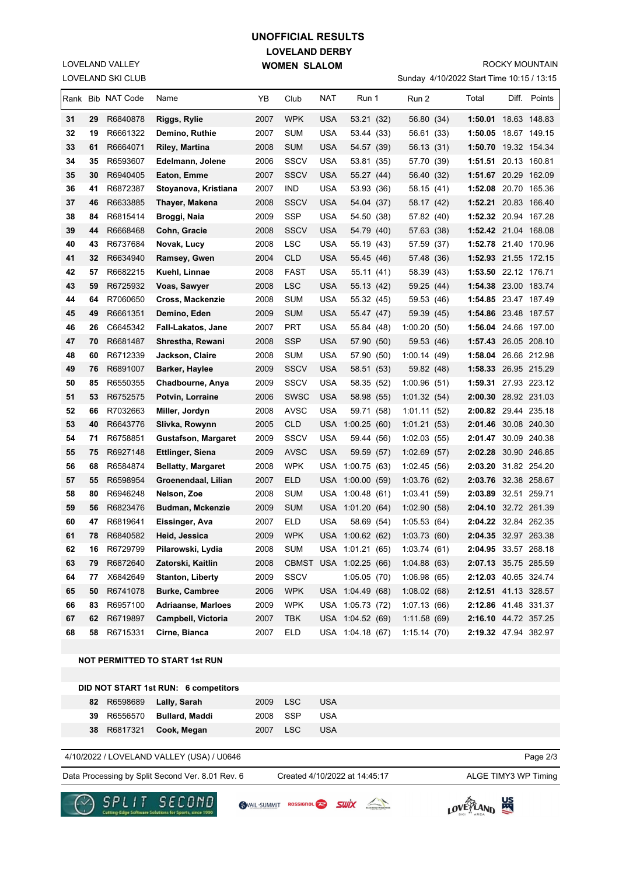## **LOVELAND DERBY WOMEN SLALOM UNOFFICIAL RESULTS**

LOVELAND SKI CLUB LOVELAND VALLEY

#### ROCKY MOUNTAIN

Sunday 4/10/2022 Start Time 10:15 / 13:15

|          |          | Rank Bib NAT Code    | Name                                  | YΒ           | Club              | NAT        | Run 1                          | Run 2                      | Total                                        | Diff. Points |
|----------|----------|----------------------|---------------------------------------|--------------|-------------------|------------|--------------------------------|----------------------------|----------------------------------------------|--------------|
| 31       | 29       | R6840878             | Riggs, Rylie                          | 2007         | <b>WPK</b>        | <b>USA</b> | 53.21 (32)                     | 56.80 (34)                 | 1:50.01 18.63 148.83                         |              |
| 32       | 19       | R6661322             | Demino, Ruthie                        | 2007         | <b>SUM</b>        | <b>USA</b> | 53.44 (33)                     | 56.61 (33)                 | 1:50.05                                      | 18.67 149.15 |
| 33       | 61       | R6664071             | Riley, Martina                        | 2008         | <b>SUM</b>        | <b>USA</b> | 54.57 (39)                     | 56.13 (31)                 | 1:50.70 19.32 154.34                         |              |
| 34       | 35       | R6593607             | Edelmann, Jolene                      | 2006         | <b>SSCV</b>       | <b>USA</b> | 53.81 (35)                     | 57.70 (39)                 | 1:51.51 20.13 160.81                         |              |
| 35       | 30       | R6940405             | Eaton, Emme                           | 2007         | <b>SSCV</b>       | <b>USA</b> | 55.27 (44)                     | 56.40 (32)                 | 1:51.67 20.29 162.09                         |              |
| 36       | 41       | R6872387             | Stoyanova, Kristiana                  | 2007         | IND               | USA        | 53.93 (36)                     | 58.15 (41)                 | 1:52.08 20.70 165.36                         |              |
| 37       | 46       | R6633885             | Thayer, Makena                        | 2008         | <b>SSCV</b>       | <b>USA</b> | 54.04 (37)                     | 58.17 (42)                 | 1:52.21                                      | 20.83 166.40 |
| 38       | 84       | R6815414             | Broggi, Naia                          | 2009         | <b>SSP</b>        | USA        | 54.50 (38)                     | 57.82 (40)                 | 1:52.32 20.94 167.28                         |              |
| 39       | 44       | R6668468             | Cohn, Gracie                          | 2008         | SSCV              | USA        | 54.79 (40)                     | 57.63 (38)                 | 1:52.42 21.04 168.08                         |              |
| 40       | 43       | R6737684             | Novak, Lucy                           | 2008         | LSC               | USA        | 55.19 (43)                     | 57.59 (37)                 | 1:52.78 21.40 170.96                         |              |
| 41       | 32       | R6634940             | Ramsey, Gwen                          | 2004         | <b>CLD</b>        | USA        | 55.45 (46)                     | 57.48 (36)                 | 1:52.93 21.55 172.15                         |              |
| 42       | 57       | R6682215             | Kuehl, Linnae                         | 2008         | FAST              | USA        | 55.11 (41)                     | 58.39 (43)                 | 1:53.50 22.12 176.71                         |              |
| 43       | 59       | R6725932             | Voas, Sawyer                          | 2008         | LSC               | <b>USA</b> | 55.13 (42)                     | 59.25 (44)                 | 1:54.38 23.00 183.74                         |              |
| 44       | 64       | R7060650             | Cross, Mackenzie                      | 2008         | <b>SUM</b>        | <b>USA</b> | 55.32 (45)                     | 59.53 (46)                 | 1:54.85 23.47 187.49                         |              |
| 45       | 49       | R6661351             | Demino, Eden                          | 2009         | <b>SUM</b>        | <b>USA</b> | 55.47 (47)                     | 59.39 (45)                 | 1:54.86 23.48 187.57                         |              |
| 46       | 26       | C6645342             | Fall-Lakatos, Jane                    | 2007         | PRT               | <b>USA</b> | 55.84 (48)                     | 1:00.20(50)                | 1:56.04 24.66 197.00                         |              |
| 47       | 70       | R6681487             | Shrestha, Rewani                      | 2008         | <b>SSP</b>        | USA        | 57.90 (50)                     | 59.53 (46)                 | 1:57.43 26.05 208.10                         |              |
| 48       | 60       | R6712339             | Jackson, Claire                       | 2008         | <b>SUM</b>        | <b>USA</b> | 57.90 (50)                     | 1:00.14(49)                | 1:58.04 26.66 212.98                         |              |
| 49       | 76       | R6891007             | Barker, Haylee                        | 2009         | SSCV              | USA        | 58.51 (53)                     | 59.82 (48)                 | 1:58.33 26.95 215.29                         |              |
| 50       | 85       | R6550355             | Chadbourne, Anya                      | 2009         | SSCV              | USA        | 58.35 (52)                     | 1:00.96(51)                | 1:59.31 27.93 223.12                         |              |
| 51       | 53       | R6752575             | Potvin, Lorraine                      | 2006         | <b>SWSC</b>       | USA        | 58.98 (55)                     | 1:01.32(54)                | 2:00.30 28.92 231.03                         |              |
| 52       | 66       | R7032663             | Miller, Jordyn                        | 2008         | AVSC              | <b>USA</b> | 59.71 (58)                     | 1:01.11(52)                | 2:00.82 29.44 235.18                         |              |
| 53       | 40       | R6643776             | Slivka, Rowynn                        | 2005         | CLD               | USA        | 1:00.25(60)                    | 1:01.21(53)                | 2:01.46 30.08 240.30                         |              |
| 54       | 71       | R6758851             | <b>Gustafson, Margaret</b>            | 2009         | SSCV              | <b>USA</b> | 59.44 (56)                     | 1:02.03(55)                | 2:01.47 30.09 240.38                         |              |
| 55       | 75       | R6927148             | <b>Ettlinger, Siena</b>               | 2009         | <b>AVSC</b>       | <b>USA</b> | 59.59 (57)                     | 1:02.69(57)                | 2:02.28 30.90 246.85                         |              |
| 56       | 68       | R6584874             | <b>Bellatty, Margaret</b>             | 2008         | <b>WPK</b>        |            | USA 1:00.75 (63)               | 1:02.45(56)                | 2:03.20 31.82 254.20                         |              |
| 57       | 55       | R6598954             | Groenendaal, Lilian                   | 2007         | ELD               |            | USA 1:00.00 (59)               | 1:03.76 (62)               | 2:03.76 32.38 258.67                         |              |
| 58       | 80       | R6946248             | Nelson, Zoe                           | 2008         | SUM               | USA        | 1:00.48(61)                    | 1:03.41(59)                | 2:03.89 32.51 259.71                         |              |
| 59       | 56       | R6823476             | <b>Budman, Mckenzie</b>               | 2009         | <b>SUM</b>        |            | USA 1:01.20 (64)               | 1:02.90(58)                | 2:04.10 32.72 261.39                         |              |
| 60<br>61 | 47<br>78 | R6819641<br>R6840582 | Eissinger, Ava<br>Heid, Jessica       | 2007<br>2009 | ELD<br><b>WPK</b> | USA        | 58.69 (54)<br>USA 1:00.62 (62) | 1:05.53(64)<br>1:03.73(60) | 2:04.22 32.84 262.35<br>2:04.35 32.97 263.38 |              |
| 62       | 16       | R6729799             | Pilarowski, Lydia                     | 2008         | <b>SUM</b>        |            | USA 1:01.21 (65)               |                            | 2:04.95 33.57 268.18                         |              |
| 63       | 79       | R6872640             | Zatorski, Kaitlin                     | 2008         |                   |            | CBMST USA 1:02.25 (66)         | 1:03.74(61)<br>1:04.88(63) | 2:07.13 35.75 285.59                         |              |
| 64       | 77       | X6842649             | <b>Stanton, Liberty</b>               | 2009         | <b>SSCV</b>       |            | 1:05.05(70)                    | 1:06.98(65)                | 2:12.03 40.65 324.74                         |              |
| 65       | 50       | R6741078             | <b>Burke, Cambree</b>                 | 2006         | <b>WPK</b>        |            | USA 1:04.49 (68)               | 1:08.02(68)                | 2:12.51 41.13 328.57                         |              |
| 66       | 83       | R6957100             | Adriaanse, Marloes                    | 2009         | <b>WPK</b>        |            | USA 1:05.73 (72)               | 1:07.13(66)                | 2:12.86 41.48 331.37                         |              |
| 67       | 62       | R6719897             | Campbell, Victoria                    | 2007         | TBK               |            | USA 1:04.52 (69)               | 1:11.58(69)                | 2:16.10 44.72 357.25                         |              |
| 68       | 58       | R6715331             | Cirne, Bianca                         | 2007         | ELD               |            | USA 1:04.18 (67)               | 1:15.14(70)                | 2:19.32 47.94 382.97                         |              |
|          |          |                      |                                       |              |                   |            |                                |                            |                                              |              |
|          |          |                      | <b>NOT PERMITTED TO START 1st RUN</b> |              |                   |            |                                |                            |                                              |              |
|          |          |                      |                                       |              |                   |            |                                |                            |                                              |              |
|          |          |                      | DID NOT START 1st RUN: 6 competitors  |              |                   |            |                                |                            |                                              |              |

|  | 82 R6598689 Lally Sarah    | 2009 LSC | <b>USA</b> |
|--|----------------------------|----------|------------|
|  | 39 R6556570 Bullard, Maddi | 2008 SSP | USA        |
|  | 38 R6817321 Cook, Megan    | 2007 LSC | <b>USA</b> |
|  |                            |          |            |

#### 4/10/2022 / LOVELAND VALLEY (USA) / U0646

Data Processing by Split Second Ver. 8.01 Rev. 6 Created 4/10/2022 at 14:45:17 ALGE TIMY3 WP Timing

Created 4/10/2022 at 14:45:17

Page 2/3